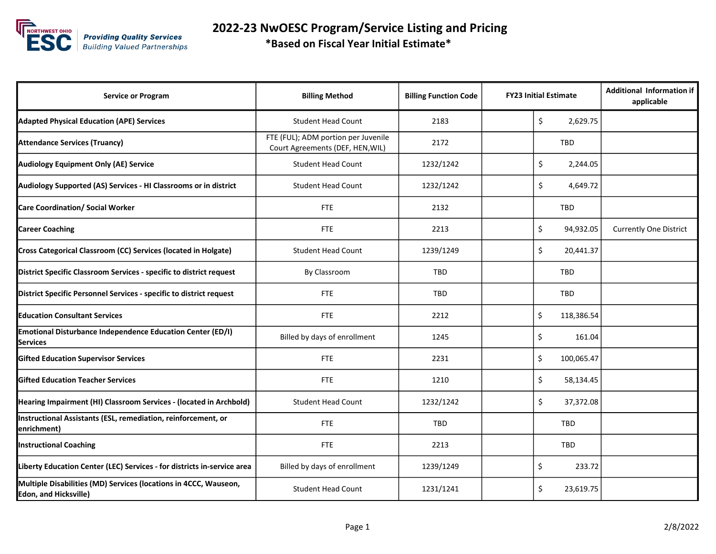

 2022-23 NwOESC Program/Service Listing and Pricing \*Based on Fiscal Year Initial Estimate\*

| <b>Service or Program</b>                                                                        | <b>Billing Method</b>                                                   | <b>Billing Function Code</b> | <b>FY23 Initial Estimate</b> | <b>Additional Information if</b><br>applicable |
|--------------------------------------------------------------------------------------------------|-------------------------------------------------------------------------|------------------------------|------------------------------|------------------------------------------------|
| <b>Adapted Physical Education (APE) Services</b>                                                 | <b>Student Head Count</b>                                               | 2183                         | \$<br>2,629.75               |                                                |
| <b>Attendance Services (Truancy)</b>                                                             | FTE (FUL); ADM portion per Juvenile<br>Court Agreements (DEF, HEN, WIL) | 2172                         | TBD                          |                                                |
| <b>Audiology Equipment Only (AE) Service</b>                                                     | <b>Student Head Count</b>                                               | 1232/1242                    | \$<br>2,244.05               |                                                |
| Audiology Supported (AS) Services - HI Classrooms or in district                                 | <b>Student Head Count</b>                                               | 1232/1242                    | \$<br>4,649.72               |                                                |
| <b>Care Coordination/ Social Worker</b>                                                          | <b>FTE</b>                                                              | 2132                         | TBD                          |                                                |
| <b>Career Coaching</b>                                                                           | <b>FTE</b>                                                              | 2213                         | \$<br>94,932.05              | <b>Currently One District</b>                  |
| Cross Categorical Classroom (CC) Services (located in Holgate)                                   | <b>Student Head Count</b>                                               | 1239/1249                    | \$<br>20,441.37              |                                                |
| District Specific Classroom Services - specific to district request                              | By Classroom                                                            | <b>TBD</b>                   | <b>TBD</b>                   |                                                |
| District Specific Personnel Services - specific to district request                              | <b>FTE</b>                                                              | <b>TBD</b>                   | <b>TBD</b>                   |                                                |
| <b>Education Consultant Services</b>                                                             | <b>FTE</b>                                                              | 2212                         | Ś.<br>118,386.54             |                                                |
| Emotional Disturbance Independence Education Center (ED/I)<br><b>Services</b>                    | Billed by days of enrollment                                            | 1245                         | \$<br>161.04                 |                                                |
| <b>Gifted Education Supervisor Services</b>                                                      | <b>FTE</b>                                                              | 2231                         | Ś.<br>100,065.47             |                                                |
| <b>Gifted Education Teacher Services</b>                                                         | <b>FTE</b>                                                              | 1210                         | \$<br>58,134.45              |                                                |
| Hearing Impairment (HI) Classroom Services - (located in Archbold)                               | <b>Student Head Count</b>                                               | 1232/1242                    | Ś.<br>37,372.08              |                                                |
| Instructional Assistants (ESL, remediation, reinforcement, or<br>enrichment)                     | <b>FTE</b>                                                              | <b>TBD</b>                   | <b>TBD</b>                   |                                                |
| <b>Instructional Coaching</b>                                                                    | <b>FTE</b>                                                              | 2213                         | TBD                          |                                                |
| Liberty Education Center (LEC) Services - for districts in-service area                          | Billed by days of enrollment                                            | 1239/1249                    | \$<br>233.72                 |                                                |
| Multiple Disabilities (MD) Services (locations in 4CCC, Wauseon,<br><b>Edon, and Hicksville)</b> | <b>Student Head Count</b>                                               | 1231/1241                    | \$<br>23,619.75              |                                                |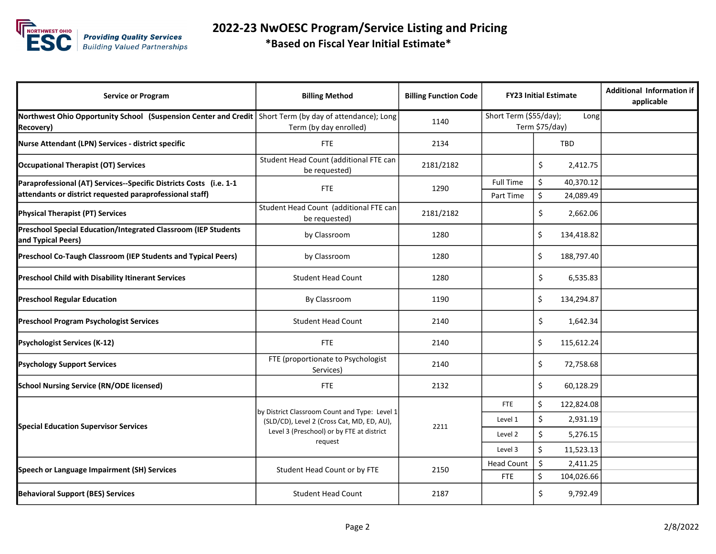

| <b>Service or Program</b>                                                                                                      | <b>Billing Method</b>                                                                                                                               | <b>Billing Function Code</b> | <b>FY23 Initial Estimate</b>                     |                                    | <b>Additional Information if</b><br>applicable |
|--------------------------------------------------------------------------------------------------------------------------------|-----------------------------------------------------------------------------------------------------------------------------------------------------|------------------------------|--------------------------------------------------|------------------------------------|------------------------------------------------|
| Northwest Ohio Opportunity School (Suspension Center and Credit)<br><b>Recovery</b> )                                          | Short Term (by day of attendance); Long<br>Term (by day enrolled)                                                                                   | 1140                         | Short Term (\$55/day);<br>Long<br>Term \$75/day) |                                    |                                                |
| Nurse Attendant (LPN) Services - district specific                                                                             | <b>FTE</b>                                                                                                                                          | 2134                         |                                                  | <b>TBD</b>                         |                                                |
| <b>Occupational Therapist (OT) Services</b>                                                                                    | Student Head Count (additional FTE can<br>be requested)                                                                                             | 2181/2182                    |                                                  | \$<br>2,412.75                     |                                                |
| Paraprofessional (AT) Services--Specific Districts Costs (i.e. 1-1<br>attendants or district requested paraprofessional staff) | FTE                                                                                                                                                 | 1290                         | <b>Full Time</b><br>Part Time                    | \$<br>40,370.12<br>\$<br>24,089.49 |                                                |
| <b>Physical Therapist (PT) Services</b>                                                                                        | Student Head Count (additional FTE can<br>be requested)                                                                                             | 2181/2182                    |                                                  | \$<br>2,662.06                     |                                                |
| Preschool Special Education/Integrated Classroom (IEP Students<br>and Typical Peers)                                           | by Classroom                                                                                                                                        | 1280                         |                                                  | \$<br>134,418.82                   |                                                |
| Preschool Co-Taugh Classroom (IEP Students and Typical Peers)                                                                  | by Classroom                                                                                                                                        | 1280                         |                                                  | \$<br>188,797.40                   |                                                |
| <b>Preschool Child with Disability Itinerant Services</b>                                                                      | <b>Student Head Count</b>                                                                                                                           | 1280                         |                                                  | \$<br>6,535.83                     |                                                |
| <b>Preschool Regular Education</b>                                                                                             | By Classroom                                                                                                                                        | 1190                         |                                                  | \$<br>134,294.87                   |                                                |
| <b>Preschool Program Psychologist Services</b>                                                                                 | <b>Student Head Count</b>                                                                                                                           | 2140                         |                                                  | \$<br>1,642.34                     |                                                |
| <b>Psychologist Services (K-12)</b>                                                                                            | <b>FTE</b>                                                                                                                                          | 2140                         |                                                  | \$<br>115,612.24                   |                                                |
| <b>Psychology Support Services</b>                                                                                             | FTE (proportionate to Psychologist<br>Services)                                                                                                     | 2140                         |                                                  | \$<br>72,758.68                    |                                                |
| <b>School Nursing Service (RN/ODE licensed)</b>                                                                                | <b>FTE</b>                                                                                                                                          | 2132                         |                                                  | \$<br>60,128.29                    |                                                |
| <b>Special Education Supervisor Services</b>                                                                                   | by District Classroom Count and Type: Level 1<br>(SLD/CD), Level 2 (Cross Cat, MD, ED, AU),<br>Level 3 (Preschool) or by FTE at district<br>request | 2211                         | <b>FTE</b>                                       | \$<br>122,824.08                   |                                                |
|                                                                                                                                |                                                                                                                                                     |                              | Level 1                                          | \$<br>2,931.19                     |                                                |
|                                                                                                                                |                                                                                                                                                     |                              | Level 2                                          | \$<br>5,276.15                     |                                                |
|                                                                                                                                |                                                                                                                                                     |                              | Level 3                                          | \$<br>11,523.13                    |                                                |
| Speech or Language Impairment (SH) Services                                                                                    | Student Head Count or by FTE                                                                                                                        | 2150                         | <b>Head Count</b>                                | Ś.<br>2,411.25                     |                                                |
|                                                                                                                                |                                                                                                                                                     |                              | <b>FTE</b>                                       | \$<br>104,026.66                   |                                                |
| <b>Behavioral Support (BES) Services</b>                                                                                       | <b>Student Head Count</b>                                                                                                                           | 2187                         |                                                  | \$<br>9,792.49                     |                                                |